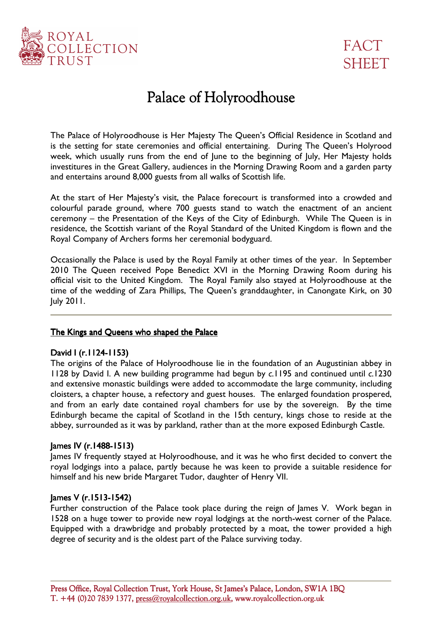



# Palace of Holyroodhouse

The Palace of Holyroodhouse is Her Majesty The Queen's Official Residence in Scotland and is the setting for state ceremonies and official entertaining. During The Queen's Holyrood week, which usually runs from the end of June to the beginning of July, Her Majesty holds investitures in the Great Gallery, audiences in the Morning Drawing Room and a garden party and entertains around 8,000 guests from all walks of Scottish life.

At the start of Her Majesty's visit, the Palace forecourt is transformed into a crowded and colourful parade ground, where 700 guests stand to watch the enactment of an ancient ceremony – the Presentation of the Keys of the City of Edinburgh. While The Queen is in residence, the Scottish variant of the Royal Standard of the United Kingdom is flown and the Royal Company of Archers forms her ceremonial bodyguard.

Occasionally the Palace is used by the Royal Family at other times of the year. In September 2010 The Queen received Pope Benedict XVI in the Morning Drawing Room during his official visit to the United Kingdom. The Royal Family also stayed at Holyroodhouse at the time of the wedding of Zara Phillips, The Queen's granddaughter, in Canongate Kirk, on 30 July 2011.

### The Kings and Queens who shaped the Palace

#### David I (r.1124-1153)

The origins of the Palace of Holyroodhouse lie in the foundation of an Augustinian abbey in 1128 by David I. A new building programme had begun by *c*.1195 and continued until *c*.1230 and extensive monastic buildings were added to accommodate the large community, including cloisters, a chapter house, a refectory and guest houses. The enlarged foundation prospered, and from an early date contained royal chambers for use by the sovereign. By the time Edinburgh became the capital of Scotland in the 15th century, kings chose to reside at the abbey, surrounded as it was by parkland, rather than at the more exposed Edinburgh Castle.

#### James IV (r.1488-1513)

James IV frequently stayed at Holyroodhouse, and it was he who first decided to convert the royal lodgings into a palace, partly because he was keen to provide a suitable residence for himself and his new bride Margaret Tudor, daughter of Henry VII.

#### James V (r.1513-1542)

Further construction of the Palace took place during the reign of James V. Work began in 1528 on a huge tower to provide new royal lodgings at the north-west corner of the Palace. Equipped with a drawbridge and probably protected by a moat, the tower provided a high degree of security and is the oldest part of the Palace surviving today.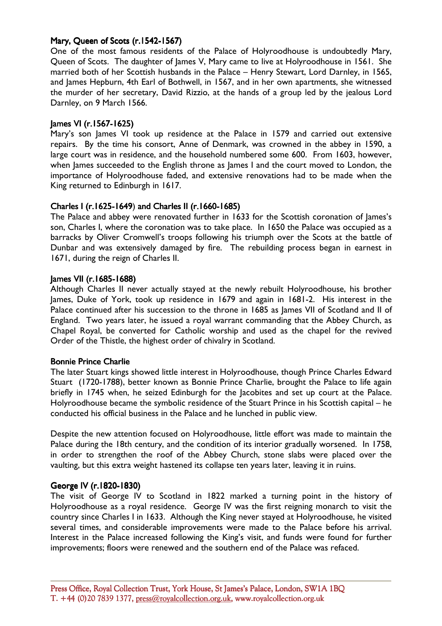# Mary, Queen of Scots (r.1542-1567)

One of the most famous residents of the Palace of Holyroodhouse is undoubtedly Mary, Queen of Scots. The daughter of James V, Mary came to live at Holyroodhouse in 1561. She married both of her Scottish husbands in the Palace – Henry Stewart, Lord Darnley, in 1565, and James Hepburn, 4th Earl of Bothwell, in 1567, and in her own apartments, she witnessed the murder of her secretary, David Rizzio, at the hands of a group led by the jealous Lord Darnley, on 9 March 1566.

### James VI (r.1567-1625)

Mary's son James VI took up residence at the Palace in 1579 and carried out extensive repairs. By the time his consort, Anne of Denmark, was crowned in the abbey in 1590, a large court was in residence, and the household numbered some 600. From 1603, however, when James succeeded to the English throne as James I and the court moved to London, the importance of Holyroodhouse faded, and extensive renovations had to be made when the King returned to Edinburgh in 1617.

## Charles I (r.1625-1649) and Charles II (r.1660-1685)

The Palace and abbey were renovated further in 1633 for the Scottish coronation of James's son, Charles I, where the coronation was to take place. In 1650 the Palace was occupied as a barracks by Oliver Cromwell's troops following his triumph over the Scots at the battle of Dunbar and was extensively damaged by fire. The rebuilding process began in earnest in 1671, during the reign of Charles II.

## James VII (r.1685-1688)

Although Charles II never actually stayed at the newly rebuilt Holyroodhouse, his brother James, Duke of York, took up residence in 1679 and again in 1681-2. His interest in the Palace continued after his succession to the throne in 1685 as James VII of Scotland and II of England. Two years later, he issued a royal warrant commanding that the Abbey Church, as Chapel Royal, be converted for Catholic worship and used as the chapel for the revived Order of the Thistle, the highest order of chivalry in Scotland.

#### Bonnie Prince Charlie

The later Stuart kings showed little interest in Holyroodhouse, though Prince Charles Edward Stuart (1720-1788), better known as Bonnie Prince Charlie, brought the Palace to life again briefly in 1745 when, he seized Edinburgh for the Jacobites and set up court at the Palace. Holyroodhouse became the symbolic residence of the Stuart Prince in his Scottish capital – he conducted his official business in the Palace and he lunched in public view.

Despite the new attention focused on Holyroodhouse, little effort was made to maintain the Palace during the 18th century, and the condition of its interior gradually worsened. In 1758, in order to strengthen the roof of the Abbey Church, stone slabs were placed over the vaulting, but this extra weight hastened its collapse ten years later, leaving it in ruins.

# George IV (r.1820- George IV (r.1820-1830)

The visit of George IV to Scotland in 1822 marked a turning point in the history of Holyroodhouse as a royal residence. George IV was the first reigning monarch to visit the country since Charles I in 1633. Although the King never stayed at Holyroodhouse, he visited several times, and considerable improvements were made to the Palace before his arrival. Interest in the Palace increased following the King's visit, and funds were found for further improvements; floors were renewed and the southern end of the Palace was refaced.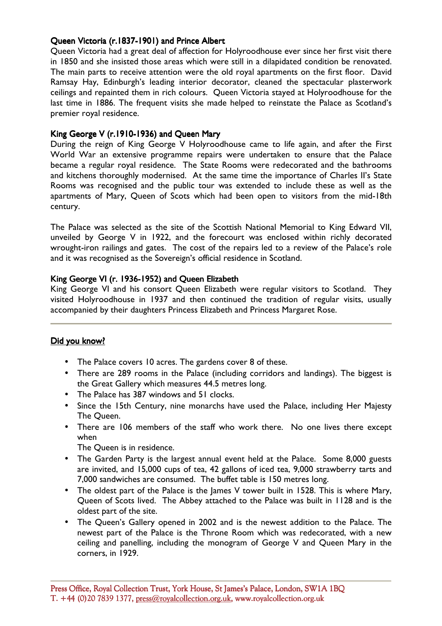# Queen Victoria (r.1837-1901) and Prince Albert

Queen Victoria had a great deal of affection for Holyroodhouse ever since her first visit there in 1850 and she insisted those areas which were still in a dilapidated condition be renovated. The main parts to receive attention were the old royal apartments on the first floor. David Ramsay Hay, Edinburgh's leading interior decorator, cleaned the spectacular plasterwork ceilings and repainted them in rich colours. Queen Victoria stayed at Holyroodhouse for the last time in 1886. The frequent visits she made helped to reinstate the Palace as Scotland's premier royal residence.

## King George V (r.1910-1936) and Queen Mary

During the reign of King George V Holyroodhouse came to life again, and after the First World War an extensive programme repairs were undertaken to ensure that the Palace became a regular royal residence. The State Rooms were redecorated and the bathrooms and kitchens thoroughly modernised. At the same time the importance of Charles II's State Rooms was recognised and the public tour was extended to include these as well as the apartments of Mary, Queen of Scots which had been open to visitors from the mid-18th century.

The Palace was selected as the site of the Scottish National Memorial to King Edward VII, unveiled by George V in 1922, and the forecourt was enclosed within richly decorated wrought-iron railings and gates. The cost of the repairs led to a review of the Palace's role and it was recognised as the Sovereign's official residence in Scotland.

# King George VI (r. 1936-1952) and Queen Elizabeth

King George VI and his consort Queen Elizabeth were regular visitors to Scotland. They visited Holyroodhouse in 1937 and then continued the tradition of regular visits, usually accompanied by their daughters Princess Elizabeth and Princess Margaret Rose.

# Did you know?

- The Palace covers 10 acres. The gardens cover 8 of these.
- There are 289 rooms in the Palace (including corridors and landings). The biggest is the Great Gallery which measures 44.5 metres long.
- The Palace has 387 windows and 51 clocks.
- Since the 15th Century, nine monarchs have used the Palace, including Her Majesty The Queen.
- There are 106 members of the staff who work there. No one lives there except when

The Queen is in residence.

- The Garden Party is the largest annual event held at the Palace. Some 8,000 guests are invited, and 15,000 cups of tea, 42 gallons of iced tea, 9,000 strawberry tarts and 7,000 sandwiches are consumed. The buffet table is 150 metres long.
- The oldest part of the Palace is the James V tower built in 1528. This is where Mary, Queen of Scots lived. The Abbey attached to the Palace was built in 1128 and is the oldest part of the site.
- The Queen's Gallery opened in 2002 and is the newest addition to the Palace. The newest part of the Palace is the Throne Room which was redecorated, with a new ceiling and panelling, including the monogram of George V and Queen Mary in the corners, in 1929.